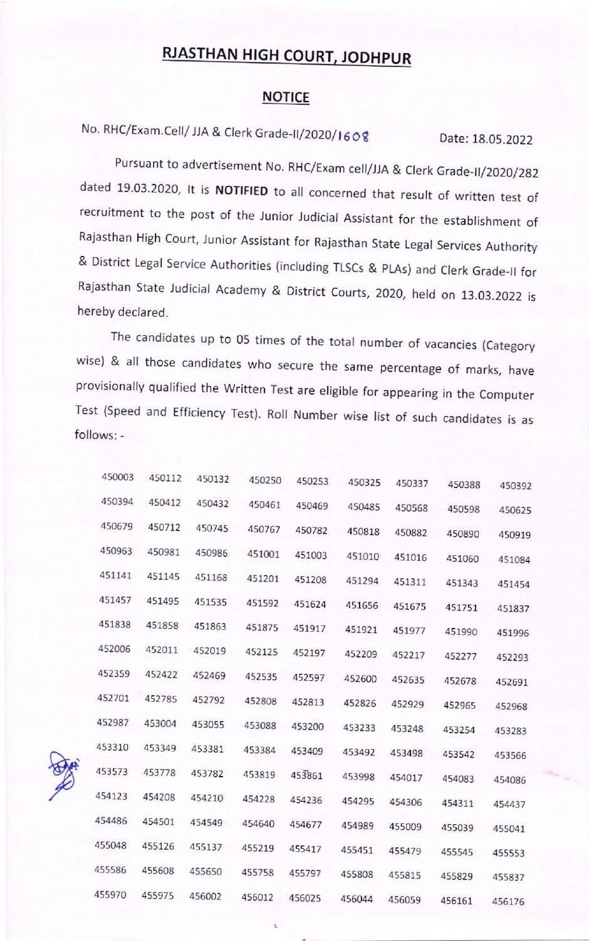## RJASTHAN HIGH COURT, JODHPUR

## **NOTICE**

No. RHC/Exam.Cell/ JJA & Clerk Grade-II/2020/1608 Date: 18.05.2022

Pursuant to advertisement No. RHC/Exam cell/JJA & Clerk Grade-II/2020/282 dated 19.03.2020, It is NOTIFIED to all concerned that result of written test of recruitment to the post of the Junior Judicial Assistant for the establishment of Rajasthan High Court, Junior Assistant for Rajasthan State Legal Services Authority & District Legal Service Authorities (including TLSCs & pLAs) and Clerk Grade\_ll for Rajasthan State Judicial Academy & District Courts, 2020, held on 13.03.2022 is hereby declared.

The candidates up to 05 times of the total number of vacancies (Category wise) & all those candidates who secure the same percentage of marks, have provisionally qualified the Written Test are eligible for appearing in the Computer Test (Speed and Efficiency Test). Roll Number wise list of such candidates is as follows: -

|        |        | 450250                                                   | 450253 | 450325 | 450337 | 450388 | 450392 |
|--------|--------|----------------------------------------------------------|--------|--------|--------|--------|--------|
| 450412 | 450432 | 450461                                                   | 450469 | 450485 | 450568 | 450598 | 450625 |
| 450712 | 450745 | 450767                                                   | 450782 | 450818 | 450882 | 450890 | 450919 |
| 450981 | 450986 | 451001                                                   | 451003 | 451010 | 451016 | 451060 | 451084 |
| 451145 | 451168 | 451201                                                   | 451208 | 451294 | 451311 | 451343 | 451454 |
| 451495 | 451535 | 451592                                                   | 451624 | 451656 | 451675 | 451751 | 451837 |
| 451858 | 451863 | 451875                                                   | 451917 | 451921 | 451977 | 451990 | 451996 |
| 452011 | 452019 | 452125                                                   | 452197 | 452209 | 452217 | 452277 | 452293 |
| 452422 | 452469 | 452535                                                   | 452597 | 452600 | 452635 | 452678 | 452691 |
| 452785 | 452792 | 452808                                                   | 452813 | 452826 | 452929 | 452965 | 452968 |
| 453004 | 453055 | 453088                                                   | 453200 | 453233 | 453248 | 453254 | 453283 |
| 453349 | 453381 | 453384                                                   | 453409 | 453492 | 453498 | 453542 | 453566 |
| 453778 |        | 453819                                                   | 453861 | 453998 | 454017 | 454083 | 454086 |
| 454208 |        | 454228                                                   | 454236 | 454295 | 454306 | 454311 | 454437 |
| 454501 |        | 454640                                                   | 454677 | 454989 | 455009 | 455039 | 455041 |
| 455126 |        | 455219                                                   | 455417 | 455451 | 455479 | 455545 | 455553 |
| 455608 |        | 455758                                                   | 455797 | 455808 | 455815 | 455829 | 455837 |
| 455975 |        |                                                          | 456025 | 456044 | 456059 | 456161 | 456176 |
|        |        | 453782<br>454210<br>454549<br>455137<br>455650<br>456002 | 456012 |        |        |        |        |

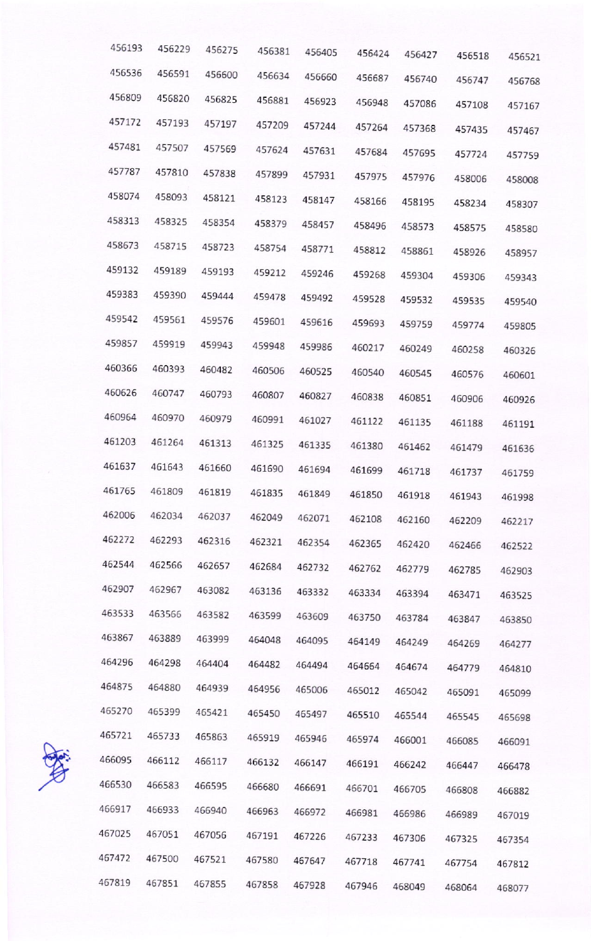| 456193 | 456229 | 456275 | 456381 | 456405 | 456424 | 456427 | 456518 | 456521 |
|--------|--------|--------|--------|--------|--------|--------|--------|--------|
| 456536 | 456591 | 456600 | 456634 | 456660 | 456687 | 456740 | 456747 | 456768 |
| 456809 | 456820 | 456825 | 456881 | 456923 | 456948 | 457086 | 457108 | 457167 |
| 457172 | 457193 | 457197 | 457209 | 457244 | 457264 | 457368 | 457435 | 457467 |
| 457481 | 457507 | 457569 | 457624 | 457631 | 457684 | 457695 | 457724 | 457759 |
| 457787 | 457810 | 457838 | 457899 | 457931 | 457975 | 457976 | 458006 | 458008 |
| 458074 | 458093 | 458121 | 458123 | 458147 | 458166 | 458195 | 458234 | 458307 |
| 458313 | 458325 | 458354 | 458379 | 458457 | 458496 | 458573 | 458575 | 458580 |
| 458673 | 458715 | 458723 | 458754 | 458771 | 458812 | 458861 | 458926 | 458957 |
| 459132 | 459189 | 459193 | 459212 | 459246 | 459268 | 459304 | 459306 | 459343 |
| 459383 | 459390 | 459444 | 459478 | 459492 | 459528 | 459532 | 459535 | 459540 |
| 459542 | 459561 | 459576 | 459601 | 459616 | 459693 | 459759 | 459774 | 459805 |
| 459857 | 459919 | 459943 | 459948 | 459986 | 460217 | 460249 | 460258 | 460326 |
| 460366 | 460393 | 460482 | 460506 | 460525 | 460540 | 460545 | 460576 | 460601 |
| 460626 | 460747 | 460793 | 460807 | 460827 | 460838 | 460851 | 460906 | 460926 |
| 460964 | 460970 | 460979 | 460991 | 461027 | 461122 | 461135 | 461188 | 461191 |
| 461203 | 461264 | 461313 | 461325 | 461335 | 461380 | 461462 | 461479 | 461636 |
| 461637 | 461643 | 461660 | 461690 | 461694 | 461699 | 461718 | 461737 | 461759 |
| 461765 | 461809 | 461819 | 461835 | 461849 | 461850 | 461918 | 461943 | 461998 |
| 462006 | 462034 | 462037 | 462049 | 462071 | 462108 | 462160 | 462209 | 462217 |
| 462272 | 462293 | 462316 | 462321 | 462354 | 462365 | 462420 | 462466 | 462522 |
| 462544 | 462566 | 462657 | 462684 | 462732 | 462762 | 462779 | 462785 | 462903 |
| 462907 | 462967 | 463082 | 463136 | 463332 | 463334 | 463394 | 463471 | 463525 |
| 463533 | 463566 | 463582 | 463599 | 463609 | 463750 | 463784 | 463847 | 463850 |
| 463867 | 463889 | 463999 | 464048 | 464095 | 464149 | 464249 | 464269 | 464277 |
| 464296 | 464298 | 464404 | 464482 | 464494 | 464664 | 464674 | 464779 | 464810 |
| 464875 | 464880 | 464939 | 464956 | 465006 | 465012 | 465042 | 465091 | 465099 |
| 465270 | 465399 | 465421 | 465450 | 465497 | 465510 | 465544 | 465545 | 465698 |
| 465721 | 465733 | 465863 | 465919 | 465946 | 465974 | 466001 | 466085 | 466091 |
| 466095 | 466112 | 466117 | 466132 | 466147 | 466191 | 466242 | 466447 | 466478 |
| 466530 | 466583 | 466595 | 466680 | 466691 | 466701 | 466705 | 466808 | 466882 |
| 466917 | 466933 | 466940 | 466963 | 466972 | 466981 | 466986 | 466989 | 467019 |
| 467025 | 467051 | 467056 | 467191 | 467226 | 467233 | 467306 | 467325 | 467354 |
| 467472 | 467500 | 467521 | 467580 | 467647 | 467718 | 467741 | 467754 | 467812 |
| 467819 | 467851 | 467855 | 467858 | 467928 | 467946 | 468049 | 468064 | 468077 |